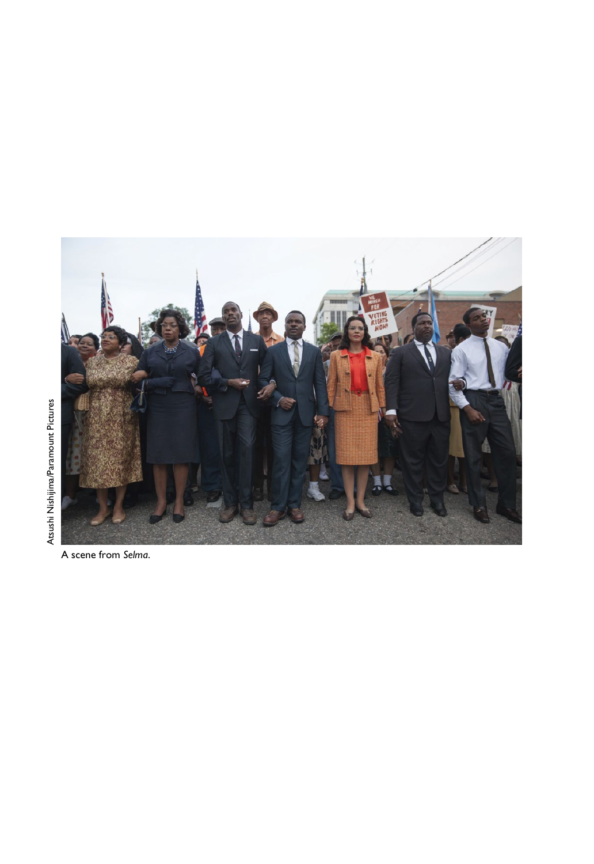

A scene from *Selma*.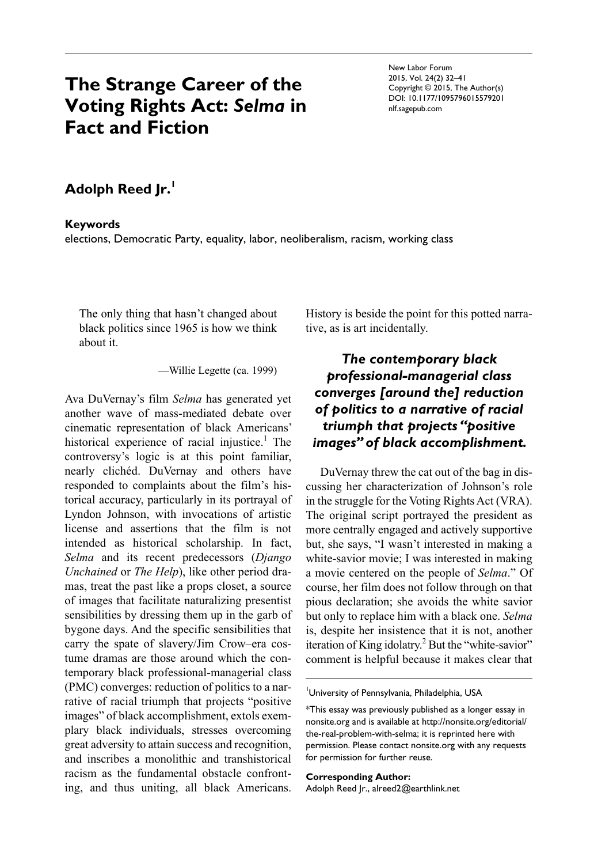# **The Strange Career of the Voting Rights Act:** *Selma* **in Fact and Fiction**

New Labor Forum 2015, Vol. 24(2) 32–41 Copyright © 2015, The Author(s) DOI: 10.1177/1095796015579201 nlf.sagepub.com

#### **Adolph Reed Jr.1**

#### **Keywords**

elections, Democratic Party, equality, labor, neoliberalism, racism, working class

The only thing that hasn't changed about black politics since 1965 is how we think about it.

—Willie Legette (ca. 1999)

Ava DuVernay's film *Selma* has generated yet another wave of mass-mediated debate over cinematic representation of black Americans' historical experience of racial injustice.<sup>1</sup> The controversy's logic is at this point familiar, nearly clichéd. DuVernay and others have responded to complaints about the film's historical accuracy, particularly in its portrayal of Lyndon Johnson, with invocations of artistic license and assertions that the film is not intended as historical scholarship. In fact, *Selma* and its recent predecessors (*Django Unchained* or *The Help*), like other period dramas, treat the past like a props closet, a source of images that facilitate naturalizing presentist sensibilities by dressing them up in the garb of bygone days. And the specific sensibilities that carry the spate of slavery/Jim Crow–era costume dramas are those around which the contemporary black professional-managerial class (PMC) converges: reduction of politics to a narrative of racial triumph that projects "positive images" of black accomplishment, extols exemplary black individuals, stresses overcoming great adversity to attain success and recognition, and inscribes a monolithic and transhistorical racism as the fundamental obstacle confronting, and thus uniting, all black Americans.

History is beside the point for this potted narrative, as is art incidentally.

# *The contemporary black professional-managerial class converges [around the] reduction of politics to a narrative of racial triumph that projects "positive images" of black accomplishment.*

DuVernay threw the cat out of the bag in discussing her characterization of Johnson's role in the struggle for the Voting Rights Act (VRA). The original script portrayed the president as more centrally engaged and actively supportive but, she says, "I wasn't interested in making a white-savior movie; I was interested in making a movie centered on the people of *Selma*." Of course, her film does not follow through on that pious declaration; she avoids the white savior but only to replace him with a black one. *Selma* is, despite her insistence that it is not, another iteration of King idolatry.<sup>2</sup> But the "white-savior" comment is helpful because it makes clear that

#### **Corresponding Author:**

Adolph Reed Jr., [alreed2@earthlink.net](mailto:alreed2@earthlink.net)

<sup>1</sup> University of Pennsylvania, Philadelphia, USA

<sup>\*</sup>This essay was previously published as a longer essay in [nonsite.org and is available at http://nonsite.org/editorial/](http://nonsite.org/editorial/the-real-problem-with-selma) the-real-problem-with-selma; it is reprinted here with permission. Please contact nonsite.org with any requests for permission for further reuse.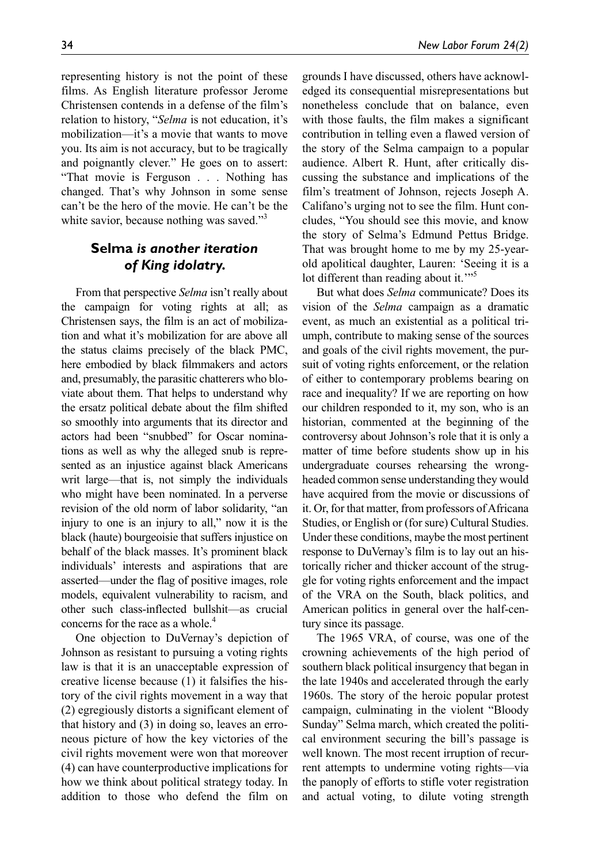representing history is not the point of these films. As English literature professor Jerome Christensen contends in a defense of the film's relation to history, "*Selma* is not education, it's mobilization—it's a movie that wants to move you. Its aim is not accuracy, but to be tragically and poignantly clever." He goes on to assert: "That movie is Ferguson . . . Nothing has changed. That's why Johnson in some sense can't be the hero of the movie. He can't be the white savior, because nothing was saved."<sup>3</sup>

### **Selma** *is another iteration of King idolatry.*

From that perspective *Selma* isn't really about the campaign for voting rights at all; as Christensen says, the film is an act of mobilization and what it's mobilization for are above all the status claims precisely of the black PMC, here embodied by black filmmakers and actors and, presumably, the parasitic chatterers who bloviate about them. That helps to understand why the ersatz political debate about the film shifted so smoothly into arguments that its director and actors had been "snubbed" for Oscar nominations as well as why the alleged snub is represented as an injustice against black Americans writ large—that is, not simply the individuals who might have been nominated. In a perverse revision of the old norm of labor solidarity, "an injury to one is an injury to all," now it is the black (haute) bourgeoisie that suffers injustice on behalf of the black masses. It's prominent black individuals' interests and aspirations that are asserted—under the flag of positive images, role models, equivalent vulnerability to racism, and other such class-inflected bullshit—as crucial concerns for the race as a whole.<sup>4</sup>

One objection to DuVernay's depiction of Johnson as resistant to pursuing a voting rights law is that it is an unacceptable expression of creative license because (1) it falsifies the history of the civil rights movement in a way that (2) egregiously distorts a significant element of that history and (3) in doing so, leaves an erroneous picture of how the key victories of the civil rights movement were won that moreover (4) can have counterproductive implications for how we think about political strategy today. In addition to those who defend the film on

grounds I have discussed, others have acknowledged its consequential misrepresentations but nonetheless conclude that on balance, even with those faults, the film makes a significant contribution in telling even a flawed version of the story of the Selma campaign to a popular audience. Albert R. Hunt, after critically discussing the substance and implications of the film's treatment of Johnson, rejects Joseph A. Califano's urging not to see the film. Hunt concludes, "You should see this movie, and know the story of Selma's Edmund Pettus Bridge. That was brought home to me by my 25-yearold apolitical daughter, Lauren: 'Seeing it is a lot different than reading about it."<sup>5</sup>

But what does *Selma* communicate? Does its vision of the *Selma* campaign as a dramatic event, as much an existential as a political triumph, contribute to making sense of the sources and goals of the civil rights movement, the pursuit of voting rights enforcement, or the relation of either to contemporary problems bearing on race and inequality? If we are reporting on how our children responded to it, my son, who is an historian, commented at the beginning of the controversy about Johnson's role that it is only a matter of time before students show up in his undergraduate courses rehearsing the wrongheaded common sense understanding they would have acquired from the movie or discussions of it. Or, for that matter, from professors of Africana Studies, or English or (for sure) Cultural Studies. Under these conditions, maybe the most pertinent response to DuVernay's film is to lay out an historically richer and thicker account of the struggle for voting rights enforcement and the impact of the VRA on the South, black politics, and American politics in general over the half-century since its passage.

The 1965 VRA, of course, was one of the crowning achievements of the high period of southern black political insurgency that began in the late 1940s and accelerated through the early 1960s. The story of the heroic popular protest campaign, culminating in the violent "Bloody Sunday" Selma march, which created the political environment securing the bill's passage is well known. The most recent irruption of recurrent attempts to undermine voting rights—via the panoply of efforts to stifle voter registration and actual voting, to dilute voting strength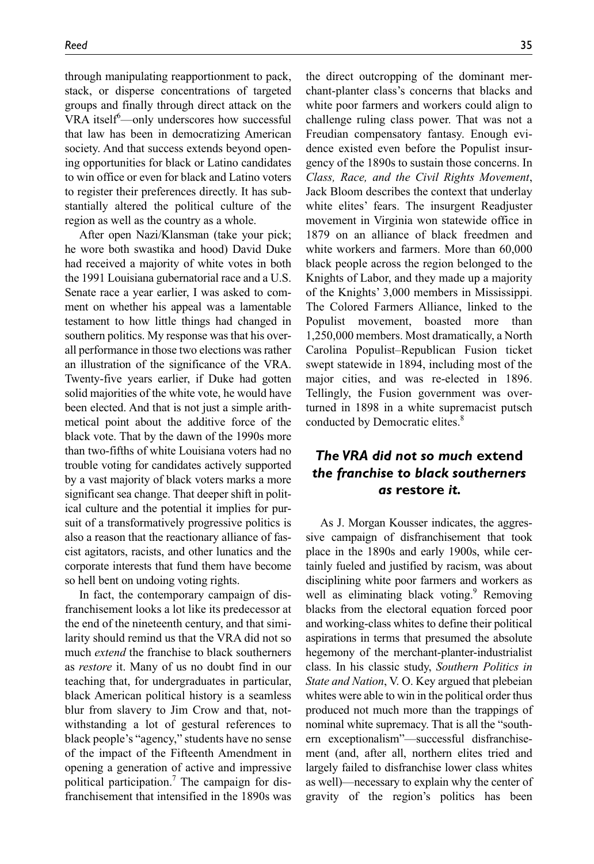through manipulating reapportionment to pack, stack, or disperse concentrations of targeted groups and finally through direct attack on the VRA itself<sup>6</sup>—only underscores how successful that law has been in democratizing American society. And that success extends beyond opening opportunities for black or Latino candidates to win office or even for black and Latino voters to register their preferences directly. It has substantially altered the political culture of the region as well as the country as a whole.

After open Nazi/Klansman (take your pick; he wore both swastika and hood) David Duke had received a majority of white votes in both the 1991 Louisiana gubernatorial race and a U.S. Senate race a year earlier, I was asked to comment on whether his appeal was a lamentable testament to how little things had changed in southern politics. My response was that his overall performance in those two elections was rather an illustration of the significance of the VRA. Twenty-five years earlier, if Duke had gotten solid majorities of the white vote, he would have been elected. And that is not just a simple arithmetical point about the additive force of the black vote. That by the dawn of the 1990s more than two-fifths of white Louisiana voters had no trouble voting for candidates actively supported by a vast majority of black voters marks a more significant sea change. That deeper shift in political culture and the potential it implies for pursuit of a transformatively progressive politics is also a reason that the reactionary alliance of fascist agitators, racists, and other lunatics and the corporate interests that fund them have become so hell bent on undoing voting rights.

In fact, the contemporary campaign of disfranchisement looks a lot like its predecessor at the end of the nineteenth century, and that similarity should remind us that the VRA did not so much *extend* the franchise to black southerners as *restore* it. Many of us no doubt find in our teaching that, for undergraduates in particular, black American political history is a seamless blur from slavery to Jim Crow and that, notwithstanding a lot of gestural references to black people's "agency," students have no sense of the impact of the Fifteenth Amendment in opening a generation of active and impressive political participation.<sup>7</sup> The campaign for disfranchisement that intensified in the 1890s was the direct outcropping of the dominant merchant-planter class's concerns that blacks and white poor farmers and workers could align to challenge ruling class power. That was not a Freudian compensatory fantasy. Enough evidence existed even before the Populist insurgency of the 1890s to sustain those concerns. In *Class, Race, and the Civil Rights Movement*, Jack Bloom describes the context that underlay white elites' fears. The insurgent Readjuster movement in Virginia won statewide office in 1879 on an alliance of black freedmen and white workers and farmers. More than 60,000 black people across the region belonged to the Knights of Labor, and they made up a majority of the Knights' 3,000 members in Mississippi. The Colored Farmers Alliance, linked to the Populist movement, boasted more than 1,250,000 members. Most dramatically, a North Carolina Populist–Republican Fusion ticket swept statewide in 1894, including most of the major cities, and was re-elected in 1896. Tellingly, the Fusion government was overturned in 1898 in a white supremacist putsch conducted by Democratic elites.<sup>8</sup>

### *The VRA did not so much* **extend** *the franchise to black southerners as* **restore** *it.*

As J. Morgan Kousser indicates, the aggressive campaign of disfranchisement that took place in the 1890s and early 1900s, while certainly fueled and justified by racism, was about disciplining white poor farmers and workers as well as eliminating black voting.<sup>9</sup> Removing blacks from the electoral equation forced poor and working-class whites to define their political aspirations in terms that presumed the absolute hegemony of the merchant-planter-industrialist class. In his classic study, *Southern Politics in State and Nation*, V. O. Key argued that plebeian whites were able to win in the political order thus produced not much more than the trappings of nominal white supremacy. That is all the "southern exceptionalism"—successful disfranchisement (and, after all, northern elites tried and largely failed to disfranchise lower class whites as well)—necessary to explain why the center of gravity of the region's politics has been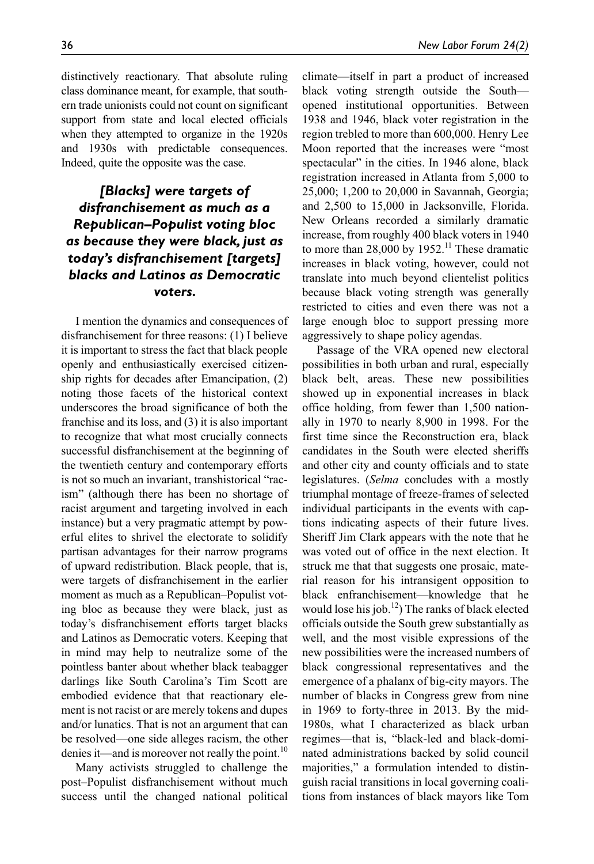distinctively reactionary. That absolute ruling class dominance meant, for example, that southern trade unionists could not count on significant support from state and local elected officials when they attempted to organize in the 1920s and 1930s with predictable consequences. Indeed, quite the opposite was the case.

# *[Blacks] were targets of disfranchisement as much as a Republican–Populist voting bloc as because they were black, just as today's disfranchisement [targets] blacks and Latinos as Democratic voters.*

I mention the dynamics and consequences of disfranchisement for three reasons: (1) I believe it is important to stress the fact that black people openly and enthusiastically exercised citizenship rights for decades after Emancipation, (2) noting those facets of the historical context underscores the broad significance of both the franchise and its loss, and (3) it is also important to recognize that what most crucially connects successful disfranchisement at the beginning of the twentieth century and contemporary efforts is not so much an invariant, transhistorical "racism" (although there has been no shortage of racist argument and targeting involved in each instance) but a very pragmatic attempt by powerful elites to shrivel the electorate to solidify partisan advantages for their narrow programs of upward redistribution. Black people, that is, were targets of disfranchisement in the earlier moment as much as a Republican–Populist voting bloc as because they were black, just as today's disfranchisement efforts target blacks and Latinos as Democratic voters. Keeping that in mind may help to neutralize some of the pointless banter about whether black teabagger darlings like South Carolina's Tim Scott are embodied evidence that that reactionary element is not racist or are merely tokens and dupes and/or lunatics. That is not an argument that can be resolved—one side alleges racism, the other denies it—and is moreover not really the point.<sup>10</sup>

Many activists struggled to challenge the post–Populist disfranchisement without much success until the changed national political

climate—itself in part a product of increased black voting strength outside the South opened institutional opportunities. Between 1938 and 1946, black voter registration in the region trebled to more than 600,000. Henry Lee Moon reported that the increases were "most spectacular" in the cities. In 1946 alone, black registration increased in Atlanta from 5,000 to 25,000; 1,200 to 20,000 in Savannah, Georgia; and 2,500 to 15,000 in Jacksonville, Florida. New Orleans recorded a similarly dramatic increase, from roughly 400 black voters in 1940 to more than  $28,000$  by  $1952$ .<sup>11</sup> These dramatic increases in black voting, however, could not translate into much beyond clientelist politics because black voting strength was generally restricted to cities and even there was not a large enough bloc to support pressing more aggressively to shape policy agendas.

Passage of the VRA opened new electoral possibilities in both urban and rural, especially black belt, areas. These new possibilities showed up in exponential increases in black office holding, from fewer than 1,500 nationally in 1970 to nearly 8,900 in 1998. For the first time since the Reconstruction era, black candidates in the South were elected sheriffs and other city and county officials and to state legislatures. (*Selma* concludes with a mostly triumphal montage of freeze-frames of selected individual participants in the events with captions indicating aspects of their future lives. Sheriff Jim Clark appears with the note that he was voted out of office in the next election. It struck me that that suggests one prosaic, material reason for his intransigent opposition to black enfranchisement—knowledge that he would lose his job.<sup>12</sup>) The ranks of black elected officials outside the South grew substantially as well, and the most visible expressions of the new possibilities were the increased numbers of black congressional representatives and the emergence of a phalanx of big-city mayors. The number of blacks in Congress grew from nine in 1969 to forty-three in 2013. By the mid-1980s, what I characterized as black urban regimes—that is, "black-led and black-dominated administrations backed by solid council majorities," a formulation intended to distinguish racial transitions in local governing coalitions from instances of black mayors like Tom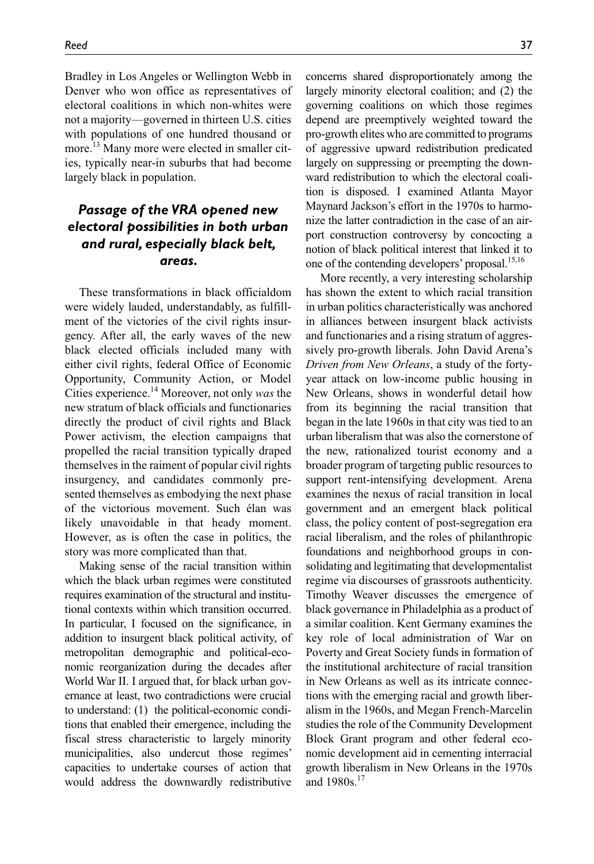Bradley in Los Angeles or Wellington Webb in Denver who won office as representatives of electoral coalitions in which non-whites were not a majority—governed in thirteen U.S. cities with populations of one hundred thousand or more.<sup>13</sup> Many more were elected in smaller cities, typically near-in suburbs that had become largely black in population.

### *Passage of the VRA opened new electoral possibilities in both urban and rural, especially black belt, areas.*

These transformations in black officialdom were widely lauded, understandably, as fulfillment of the victories of the civil rights insurgency. After all, the early waves of the new black elected officials included many with either civil rights, federal Office of Economic Opportunity, Community Action, or Model Cities experience.14 Moreover, not only *was* the new stratum of black officials and functionaries directly the product of civil rights and Black Power activism, the election campaigns that propelled the racial transition typically draped themselves in the raiment of popular civil rights insurgency, and candidates commonly presented themselves as embodying the next phase of the victorious movement. Such élan was likely unavoidable in that heady moment. However, as is often the case in politics, the story was more complicated than that.

Making sense of the racial transition within which the black urban regimes were constituted requires examination of the structural and institutional contexts within which transition occurred. In particular, I focused on the significance, in addition to insurgent black political activity, of metropolitan demographic and political-economic reorganization during the decades after World War II. I argued that, for black urban governance at least, two contradictions were crucial to understand: (1) the political-economic conditions that enabled their emergence, including the fiscal stress characteristic to largely minority municipalities, also undercut those regimes' capacities to undertake courses of action that would address the downwardly redistributive concerns shared disproportionately among the largely minority electoral coalition; and (2) the governing coalitions on which those regimes depend are preemptively weighted toward the pro-growth elites who are committed to programs of aggressive upward redistribution predicated largely on suppressing or preempting the downward redistribution to which the electoral coalition is disposed. I examined Atlanta Mayor Maynard Jackson's effort in the 1970s to harmonize the latter contradiction in the case of an airport construction controversy by concocting a notion of black political interest that linked it to one of the contending developers' proposal.<sup>15,16</sup>

More recently, a very interesting scholarship has shown the extent to which racial transition in urban politics characteristically was anchored in alliances between insurgent black activists and functionaries and a rising stratum of aggressively pro-growth liberals. John David Arena's *Driven from New Orleans*, a study of the fortyyear attack on low-income public housing in New Orleans, shows in wonderful detail how from its beginning the racial transition that began in the late 1960s in that city was tied to an urban liberalism that was also the cornerstone of the new, rationalized tourist economy and a broader program of targeting public resources to support rent-intensifying development. Arena examines the nexus of racial transition in local government and an emergent black political class, the policy content of post-segregation era racial liberalism, and the roles of philanthropic foundations and neighborhood groups in consolidating and legitimating that developmentalist regime via discourses of grassroots authenticity. Timothy Weaver discusses the emergence of black governance in Philadelphia as a product of a similar coalition. Kent Germany examines the key role of local administration of War on Poverty and Great Society funds in formation of the institutional architecture of racial transition in New Orleans as well as its intricate connections with the emerging racial and growth liberalism in the 1960s, and Megan French-Marcelin studies the role of the Community Development Block Grant program and other federal economic development aid in cementing interracial growth liberalism in New Orleans in the 1970s and 1980s.<sup>17</sup>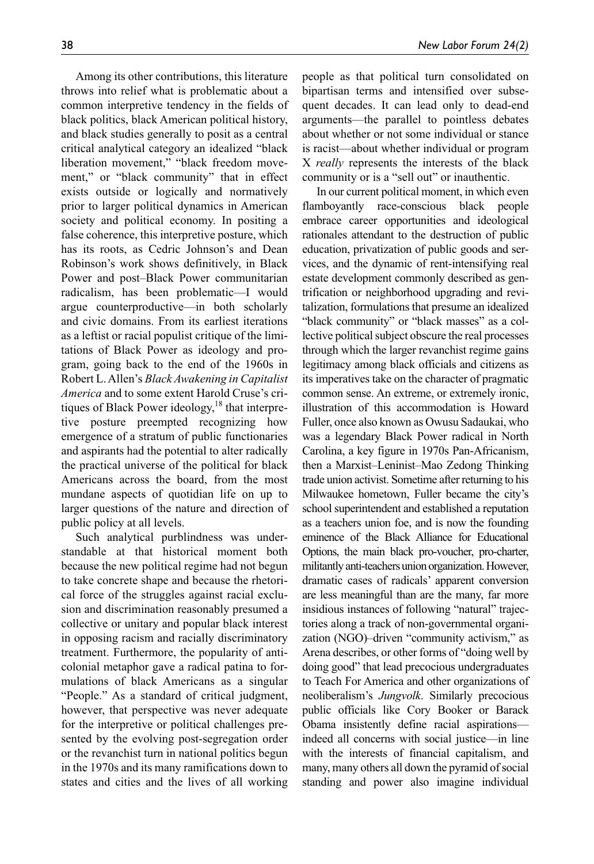Among its other contributions, this literature throws into relief what is problematic about a common interpretive tendency in the fields of black politics, black American political history, and black studies generally to posit as a central critical analytical category an idealized "black liberation movement," "black freedom movement," or "black community" that in effect exists outside or logically and normatively prior to larger political dynamics in American society and political economy. In positing a false coherence, this interpretive posture, which has its roots, as Cedric Johnson's and Dean Robinson's work shows definitively, in Black Power and post–Black Power communitarian radicalism, has been problematic—I would argue counterproductive—in both scholarly and civic domains. From its earliest iterations as a leftist or racial populist critique of the limitations of Black Power as ideology and program, going back to the end of the 1960s in Robert L. Allen's *Black Awakening in Capitalist America* and to some extent Harold Cruse's critiques of Black Power ideology,<sup>18</sup> that interpretive posture preempted recognizing how emergence of a stratum of public functionaries and aspirants had the potential to alter radically the practical universe of the political for black Americans across the board, from the most mundane aspects of quotidian life on up to larger questions of the nature and direction of public policy at all levels.

Such analytical purblindness was understandable at that historical moment both because the new political regime had not begun to take concrete shape and because the rhetorical force of the struggles against racial exclusion and discrimination reasonably presumed a collective or unitary and popular black interest in opposing racism and racially discriminatory treatment. Furthermore, the popularity of anticolonial metaphor gave a radical patina to formulations of black Americans as a singular "People." As a standard of critical judgment, however, that perspective was never adequate for the interpretive or political challenges presented by the evolving post-segregation order or the revanchist turn in national politics begun in the 1970s and its many ramifications down to states and cities and the lives of all working people as that political turn consolidated on bipartisan terms and intensified over subsequent decades. It can lead only to dead-end arguments—the parallel to pointless debates about whether or not some individual or stance is racist—about whether individual or program X *really* represents the interests of the black community or is a "sell out" or inauthentic.

In our current political moment, in which even flamboyantly race-conscious black people embrace career opportunities and ideological rationales attendant to the destruction of public education, privatization of public goods and services, and the dynamic of rent-intensifying real estate development commonly described as gentrification or neighborhood upgrading and revitalization, formulations that presume an idealized "black community" or "black masses" as a collective political subject obscure the real processes through which the larger revanchist regime gains legitimacy among black officials and citizens as its imperatives take on the character of pragmatic common sense. An extreme, or extremely ironic, illustration of this accommodation is Howard Fuller, once also known as Owusu Sadaukai, who was a legendary Black Power radical in North Carolina, a key figure in 1970s Pan-Africanism, then a Marxist–Leninist–Mao Zedong Thinking trade union activist. Sometime after returning to his Milwaukee hometown, Fuller became the city's school superintendent and established a reputation as a teachers union foe, and is now the founding eminence of the Black Alliance for Educational Options, the main black pro-voucher, pro-charter, militantly anti-teachers union organization. However, dramatic cases of radicals' apparent conversion are less meaningful than are the many, far more insidious instances of following "natural" trajectories along a track of non-governmental organization (NGO)–driven "community activism," as Arena describes, or other forms of "doing well by doing good" that lead precocious undergraduates to Teach For America and other organizations of neoliberalism's *Jungvolk*. Similarly precocious public officials like Cory Booker or Barack Obama insistently define racial aspirations indeed all concerns with social justice—in line with the interests of financial capitalism, and many, many others all down the pyramid of social standing and power also imagine individual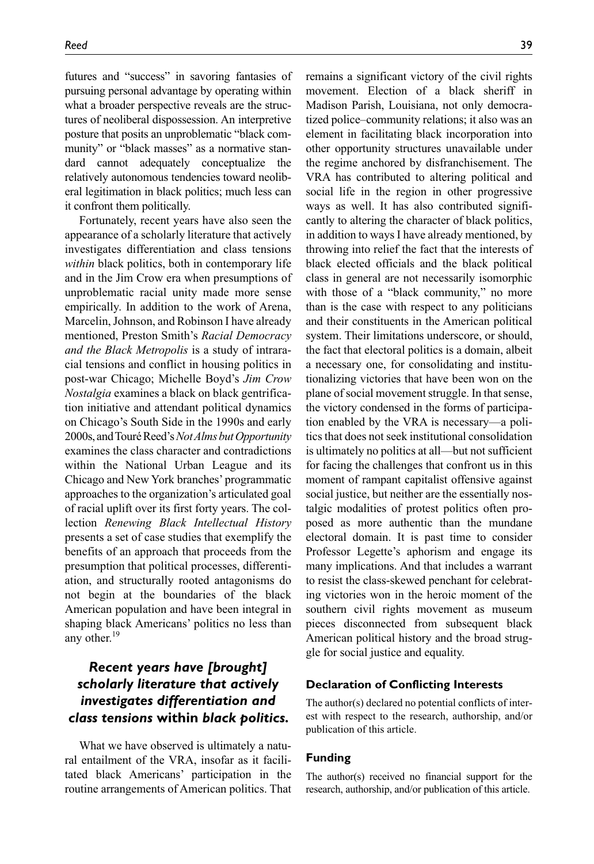futures and "success" in savoring fantasies of pursuing personal advantage by operating within what a broader perspective reveals are the structures of neoliberal dispossession. An interpretive posture that posits an unproblematic "black community" or "black masses" as a normative standard cannot adequately conceptualize the relatively autonomous tendencies toward neoliberal legitimation in black politics; much less can it confront them politically.

Fortunately, recent years have also seen the appearance of a scholarly literature that actively investigates differentiation and class tensions *within* black politics, both in contemporary life and in the Jim Crow era when presumptions of unproblematic racial unity made more sense empirically. In addition to the work of Arena, Marcelin, Johnson, and Robinson I have already mentioned, Preston Smith's *Racial Democracy and the Black Metropolis* is a study of intraracial tensions and conflict in housing politics in post-war Chicago; Michelle Boyd's *Jim Crow Nostalgia* examines a black on black gentrification initiative and attendant political dynamics on Chicago's South Side in the 1990s and early 2000s, and Touré Reed's *Not Alms but Opportunity* examines the class character and contradictions within the National Urban League and its Chicago and New York branches' programmatic approaches to the organization's articulated goal of racial uplift over its first forty years. The collection *Renewing Black Intellectual History* presents a set of case studies that exemplify the benefits of an approach that proceeds from the presumption that political processes, differentiation, and structurally rooted antagonisms do not begin at the boundaries of the black American population and have been integral in shaping black Americans' politics no less than any other. $19$ 

# *Recent years have [brought] scholarly literature that actively investigates differentiation and class tensions* **within** *black politics.*

What we have observed is ultimately a natural entailment of the VRA, insofar as it facilitated black Americans' participation in the routine arrangements of American politics. That remains a significant victory of the civil rights movement. Election of a black sheriff in Madison Parish, Louisiana, not only democratized police–community relations; it also was an element in facilitating black incorporation into other opportunity structures unavailable under the regime anchored by disfranchisement. The VRA has contributed to altering political and social life in the region in other progressive ways as well. It has also contributed significantly to altering the character of black politics, in addition to ways I have already mentioned, by throwing into relief the fact that the interests of black elected officials and the black political class in general are not necessarily isomorphic with those of a "black community," no more than is the case with respect to any politicians and their constituents in the American political system. Their limitations underscore, or should, the fact that electoral politics is a domain, albeit a necessary one, for consolidating and institutionalizing victories that have been won on the plane of social movement struggle. In that sense, the victory condensed in the forms of participation enabled by the VRA is necessary—a politics that does not seek institutional consolidation is ultimately no politics at all—but not sufficient for facing the challenges that confront us in this moment of rampant capitalist offensive against social justice, but neither are the essentially nostalgic modalities of protest politics often proposed as more authentic than the mundane electoral domain. It is past time to consider Professor Legette's aphorism and engage its many implications. And that includes a warrant to resist the class-skewed penchant for celebrating victories won in the heroic moment of the southern civil rights movement as museum pieces disconnected from subsequent black American political history and the broad struggle for social justice and equality.

#### **Declaration of Conflicting Interests**

The author(s) declared no potential conflicts of interest with respect to the research, authorship, and/or publication of this article.

#### **Funding**

The author(s) received no financial support for the research, authorship, and/or publication of this article.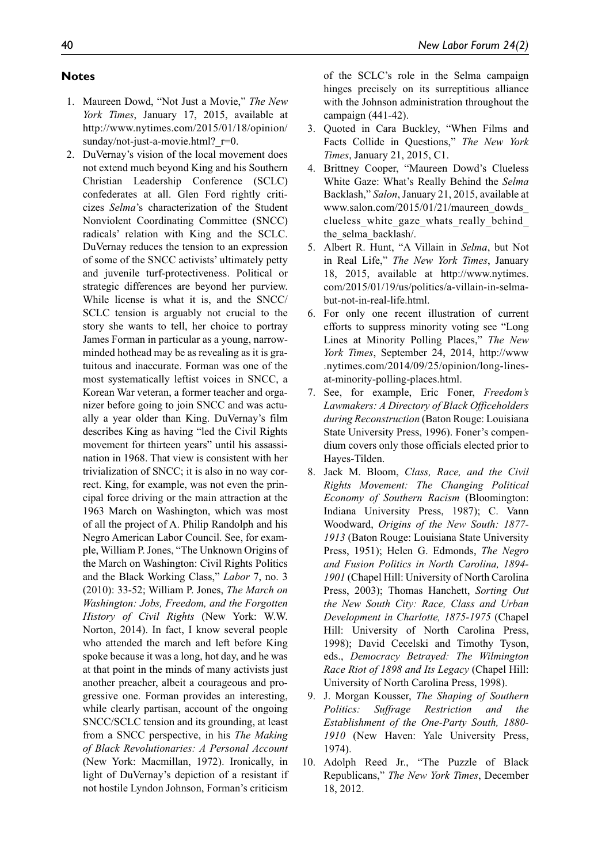#### **Notes**

- 1. Maureen Dowd, "Not Just a Movie," *The New York Times*, January 17, 2015, available at [http://www.nytimes.com/2015/01/18/opinion/](http://www.nytimes.com/2015/01/18/opinion/sunday/not-just-a-movie.html?_r=0) sunday/not-just-a-movie.html? r=0.
- 2. DuVernay's vision of the local movement does not extend much beyond King and his Southern Christian Leadership Conference (SCLC) confederates at all. Glen Ford rightly criticizes *Selma*'s characterization of the Student Nonviolent Coordinating Committee (SNCC) radicals' relation with King and the SCLC. DuVernay reduces the tension to an expression of some of the SNCC activists' ultimately petty and juvenile turf-protectiveness. Political or strategic differences are beyond her purview. While license is what it is, and the SNCC/ SCLC tension is arguably not crucial to the story she wants to tell, her choice to portray James Forman in particular as a young, narrowminded hothead may be as revealing as it is gratuitous and inaccurate. Forman was one of the most systematically leftist voices in SNCC, a Korean War veteran, a former teacher and organizer before going to join SNCC and was actually a year older than King. DuVernay's film describes King as having "led the Civil Rights movement for thirteen years" until his assassination in 1968. That view is consistent with her trivialization of SNCC; it is also in no way correct. King, for example, was not even the principal force driving or the main attraction at the 1963 March on Washington, which was most of all the project of A. Philip Randolph and his Negro American Labor Council. See, for example, William P. Jones, "The Unknown Origins of the March on Washington: Civil Rights Politics and the Black Working Class," *Labor* 7, no. 3 (2010): 33-52; William P. Jones, *The March on Washington: Jobs, Freedom, and the Forgotten History of Civil Rights* (New York: W.W. Norton, 2014). In fact, I know several people who attended the march and left before King spoke because it was a long, hot day, and he was at that point in the minds of many activists just another preacher, albeit a courageous and progressive one. Forman provides an interesting, while clearly partisan, account of the ongoing SNCC/SCLC tension and its grounding, at least from a SNCC perspective, in his *The Making of Black Revolutionaries: A Personal Account* (New York: Macmillan, 1972). Ironically, in light of DuVernay's depiction of a resistant if not hostile Lyndon Johnson, Forman's criticism

of the SCLC's role in the Selma campaign hinges precisely on its surreptitious alliance with the Johnson administration throughout the campaign (441-42).

- 3. Quoted in Cara Buckley, "When Films and Facts Collide in Questions," *The New York Times*, January 21, 2015, C1.
- 4. Brittney Cooper, "Maureen Dowd's Clueless White Gaze: What's Really Behind the *Selma* Backlash," *Salon*, January 21, 2015, available at [www.salon.com/2015/01/21/maureen\\_dowds\\_](www.salon.com/2015/01/21/maureen_dowds_clueless_white_gaze_whats_really_behind_the_selma_backlash/) clueless white gaze whats really behind the selma backlash/.
- 5. Albert R. Hunt, "A Villain in *Selma*, but Not in Real Life," *The New York Times*, January 18, 2015, available at [http://www.nytimes.](http://www.nytimes.com/2015/01/19/us/politics/a-villain-in-selma-but-not-in-real-life.html) [com/2015/01/19/us/politics/a-villain-in-selma](http://www.nytimes.com/2015/01/19/us/politics/a-villain-in-selma-but-not-in-real-life.html)[but-not-in-real-life.html](http://www.nytimes.com/2015/01/19/us/politics/a-villain-in-selma-but-not-in-real-life.html).
- 6. For only one recent illustration of current efforts to suppress minority voting see "Long Lines at Minority Polling Places," *The New York Times*, September 24, 2014, [http://www](http://www.nytimes.com/2014/09/25/opinion/long-lines-at-minority-polling-places.html) [.nytimes.com/2014/09/25/opinion/long-lines](http://www.nytimes.com/2014/09/25/opinion/long-lines-at-minority-polling-places.html)[at-minority-polling-places.html](http://www.nytimes.com/2014/09/25/opinion/long-lines-at-minority-polling-places.html).
- 7. See, for example, Eric Foner, *Freedom's Lawmakers: A Directory of Black Officeholders during Reconstruction* (Baton Rouge: Louisiana State University Press, 1996). Foner's compendium covers only those officials elected prior to Hayes-Tilden.
- 8. Jack M. Bloom, *Class, Race, and the Civil Rights Movement: The Changing Political Economy of Southern Racism* (Bloomington: Indiana University Press, 1987); C. Vann Woodward, *Origins of the New South: 1877- 1913* (Baton Rouge: Louisiana State University Press, 1951); Helen G. Edmonds, *The Negro and Fusion Politics in North Carolina, 1894- 1901* (Chapel Hill: University of North Carolina Press, 2003); Thomas Hanchett, *Sorting Out the New South City: Race, Class and Urban Development in Charlotte, 1875-1975* (Chapel Hill: University of North Carolina Press, 1998); David Cecelski and Timothy Tyson, eds., *Democracy Betrayed: The Wilmington Race Riot of 1898 and Its Legacy* (Chapel Hill: University of North Carolina Press, 1998).
- 9. J. Morgan Kousser, *The Shaping of Southern Politics: Suffrage Restriction and the Establishment of the One-Party South, 1880- 1910* (New Haven: Yale University Press, 1974).
- 10. Adolph Reed Jr., "The Puzzle of Black Republicans," *The New York Times*, December 18, 2012.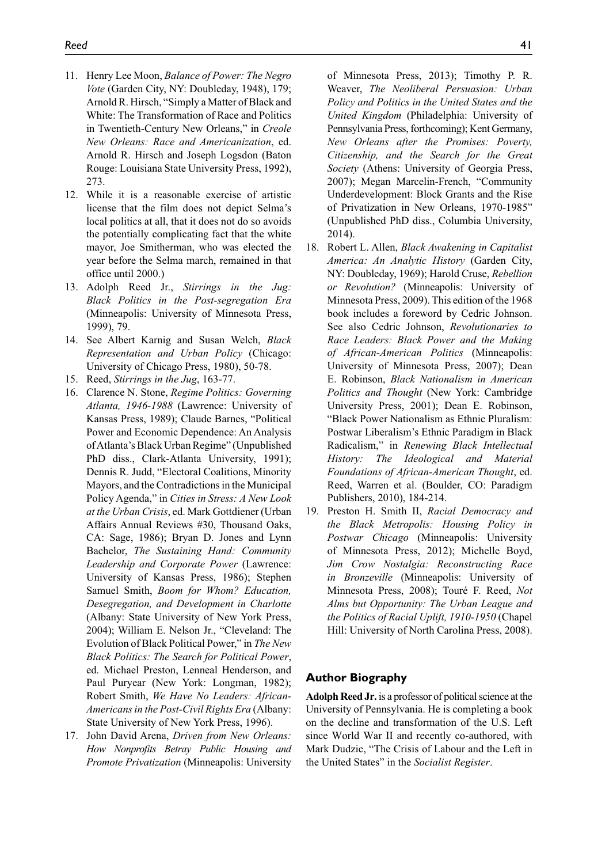- 11. Henry Lee Moon, *Balance of Power: The Negro Vote* (Garden City, NY: Doubleday, 1948), 179; Arnold R. Hirsch, "Simply a Matter of Black and White: The Transformation of Race and Politics in Twentieth-Century New Orleans," in *Creole New Orleans: Race and Americanization*, ed. Arnold R. Hirsch and Joseph Logsdon (Baton Rouge: Louisiana State University Press, 1992), 273.
- 12. While it is a reasonable exercise of artistic license that the film does not depict Selma's local politics at all, that it does not do so avoids the potentially complicating fact that the white mayor, Joe Smitherman, who was elected the year before the Selma march, remained in that office until 2000.)
- 13. Adolph Reed Jr., *Stirrings in the Jug: Black Politics in the Post-segregation Era* (Minneapolis: University of Minnesota Press, 1999), 79.
- 14. See Albert Karnig and Susan Welch, *Black Representation and Urban Policy* (Chicago: University of Chicago Press, 1980), 50-78.
- 15. Reed, *Stirrings in the Jug*, 163-77.
- 16. Clarence N. Stone, *Regime Politics: Governing Atlanta, 1946-1988* (Lawrence: University of Kansas Press, 1989); Claude Barnes, "Political Power and Economic Dependence: An Analysis of Atlanta's Black Urban Regime" (Unpublished PhD diss., Clark-Atlanta University, 1991); Dennis R. Judd, "Electoral Coalitions, Minority Mayors, and the Contradictions in the Municipal Policy Agenda," in *Cities in Stress: A New Look at the Urban Crisis*, ed. Mark Gottdiener (Urban Affairs Annual Reviews #30, Thousand Oaks, CA: Sage, 1986); Bryan D. Jones and Lynn Bachelor, *The Sustaining Hand: Community Leadership and Corporate Power* (Lawrence: University of Kansas Press, 1986); Stephen Samuel Smith, *Boom for Whom? Education, Desegregation, and Development in Charlotte* (Albany: State University of New York Press, 2004); William E. Nelson Jr., "Cleveland: The Evolution of Black Political Power," in *The New Black Politics: The Search for Political Power*, ed. Michael Preston, Lenneal Henderson, and Paul Puryear (New York: Longman, 1982); Robert Smith, *We Have No Leaders: African-Americans in the Post-Civil Rights Era* (Albany: State University of New York Press, 1996).
- 17. John David Arena, *Driven from New Orleans: How Nonprofits Betray Public Housing and Promote Privatization* (Minneapolis: University

of Minnesota Press, 2013); Timothy P. R. Weaver, *The Neoliberal Persuasion: Urban Policy and Politics in the United States and the United Kingdom* (Philadelphia: University of Pennsylvania Press, forthcoming); Kent Germany, *New Orleans after the Promises: Poverty, Citizenship, and the Search for the Great Society* (Athens: University of Georgia Press, 2007); Megan Marcelin-French, "Community Underdevelopment: Block Grants and the Rise of Privatization in New Orleans, 1970-1985" (Unpublished PhD diss., Columbia University, 2014).

- 18. Robert L. Allen, *Black Awakening in Capitalist America: An Analytic History* (Garden City, NY: Doubleday, 1969); Harold Cruse, *Rebellion or Revolution?* (Minneapolis: University of Minnesota Press, 2009). This edition of the 1968 book includes a foreword by Cedric Johnson. See also Cedric Johnson, *Revolutionaries to Race Leaders: Black Power and the Making of African-American Politics* (Minneapolis: University of Minnesota Press, 2007); Dean E. Robinson, *Black Nationalism in American Politics and Thought* (New York: Cambridge University Press, 2001); Dean E. Robinson, "Black Power Nationalism as Ethnic Pluralism: Postwar Liberalism's Ethnic Paradigm in Black Radicalism," in *Renewing Black Intellectual History: The Ideological and Material Foundations of African-American Thought*, ed. Reed, Warren et al. (Boulder, CO: Paradigm Publishers, 2010), 184-214.
- 19. Preston H. Smith II, *Racial Democracy and the Black Metropolis: Housing Policy in Postwar Chicago* (Minneapolis: University of Minnesota Press, 2012); Michelle Boyd, *Jim Crow Nostalgia: Reconstructing Race in Bronzeville* (Minneapolis: University of Minnesota Press, 2008); Touré F. Reed, *Not Alms but Opportunity: The Urban League and the Politics of Racial Uplift, 1910-1950* (Chapel Hill: University of North Carolina Press, 2008).

#### **Author Biography**

**Adolph Reed Jr.** is a professor of political science at the University of Pennsylvania. He is completing a book on the decline and transformation of the U.S. Left since World War II and recently co-authored, with Mark Dudzic, "The Crisis of Labour and the Left in the United States" in the *Socialist Register*.